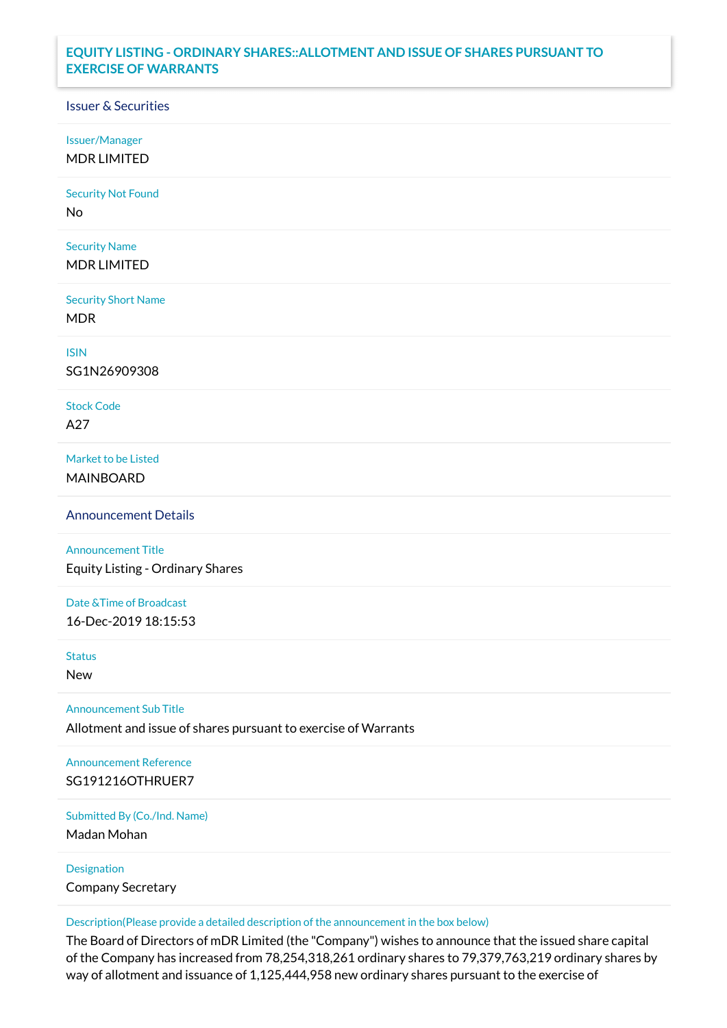## **EQUITY LISTING - ORDINARY SHARES::ALLOTMENT AND ISSUE OF SHARES PURSUANT TO EXERCISE OF WARRANTS**

## Issuer & Securities

Issuer/Manager

MDR LIMITED

Security Not Found

No

Security Name MDR LIMITED

Security Short Name MDR

ISIN

SG1N26909308

Stock Code A27

Market to be Listed MAINBOARD

Announcement Details

Announcement Title Equity Listing - Ordinary Shares

Date &Time of Broadcast 16-Dec-2019 18:15:53

Status

New

Announcement Sub Title

Allotment and issue of shares pursuant to exercise of Warrants

Announcement Reference SG191216OTHRUER7

Submitted By (Co./Ind. Name)

Madan Mohan

Designation Company Secretary

Description(Please provide a detailed description of the announcement in the box below)

The Board of Directors of mDR Limited (the "Company") wishes to announce that the issued share capital of the Company has increased from 78,254,318,261 ordinary shares to 79,379,763,219 ordinary shares by way of allotment and issuance of 1,125,444,958 new ordinary shares pursuant to the exercise of